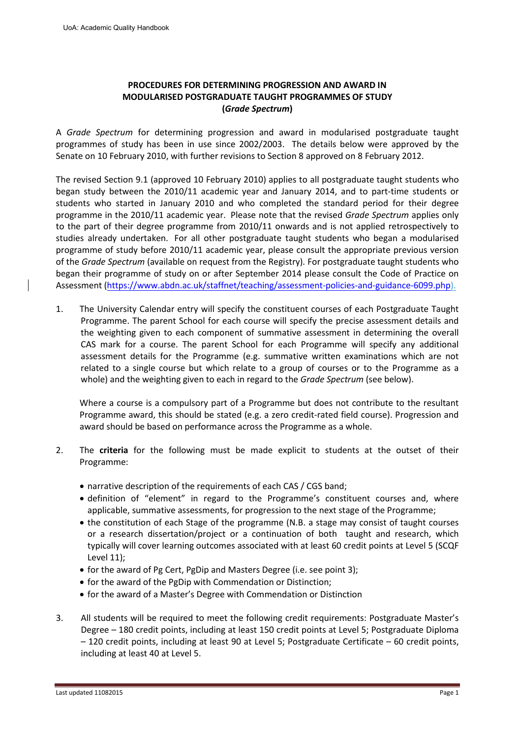# **PROCEDURES FOR DETERMINING PROGRESSION AND AWARD IN MODULARISED POSTGRADUATE TAUGHT PROGRAMMES OF STUDY (***Grade Spectrum***)**

A *Grade Spectrum* for determining progression and award in modularised postgraduate taught programmes of study has been in use since 2002/2003. The details below were approved by the Senate on 10 February 2010, with further revisions to Section 8 approved on 8 February 2012.

The revised Section 9.1 (approved 10 February 2010) applies to all postgraduate taught students who began study between the 2010/11 academic year and January 2014, and to part-time students or students who started in January 2010 and who completed the standard period for their degree programme in the 2010/11 academic year. Please note that the revised *Grade Spectrum* applies only to the part of their degree programme from 2010/11 onwards and is not applied retrospectively to studies already undertaken. For all other postgraduate taught students who began a modularised programme of study before 2010/11 academic year, please consult the appropriate previous version of the *Grade Spectrum* (available on request from the Registry)*.* For postgraduate taught students who began their programme of study on or after September 2014 please consult the Code of Practice on Assessment ([https://www.abdn.ac.uk/staffnet/teaching/assessment-policies-and-guidance-6099.php](http://www.abdn.ac.uk/staffnet/teaching/aqh/appendix7x14.pdf)).

1. The University Calendar entry will specify the constituent courses of each Postgraduate Taught Programme. The parent School for each course will specify the precise assessment details and the weighting given to each component of summative assessment in determining the overall CAS mark for a course. The parent School for each Programme will specify any additional assessment details for the Programme (e.g. summative written examinations which are not related to a single course but which relate to a group of courses or to the Programme as a whole) and the weighting given to each in regard to the *Grade Spectrum* (see below).

Where a course is a compulsory part of a Programme but does not contribute to the resultant Programme award, this should be stated (e.g. a zero credit-rated field course). Progression and award should be based on performance across the Programme as a whole.

- 2. The **criteria** for the following must be made explicit to students at the outset of their Programme:
	- narrative description of the requirements of each CAS / CGS band:
	- definition of "element" in regard to the Programme's constituent courses and, where applicable, summative assessments, for progression to the next stage of the Programme;
	- the constitution of each Stage of the programme (N.B. a stage may consist of taught courses or a research dissertation/project or a continuation of both taught and research, which typically will cover learning outcomes associated with at least 60 credit points at Level 5 (SCQF Level 11);
	- for the award of Pg Cert, PgDip and Masters Degree (i.e. see point 3);
	- for the award of the PgDip with Commendation or Distinction;
	- for the award of a Master's Degree with Commendation or Distinction
- 3. All students will be required to meet the following credit requirements: Postgraduate Master's Degree – 180 credit points, including at least 150 credit points at Level 5; Postgraduate Diploma – 120 credit points, including at least 90 at Level 5; Postgraduate Certificate – 60 credit points, including at least 40 at Level 5.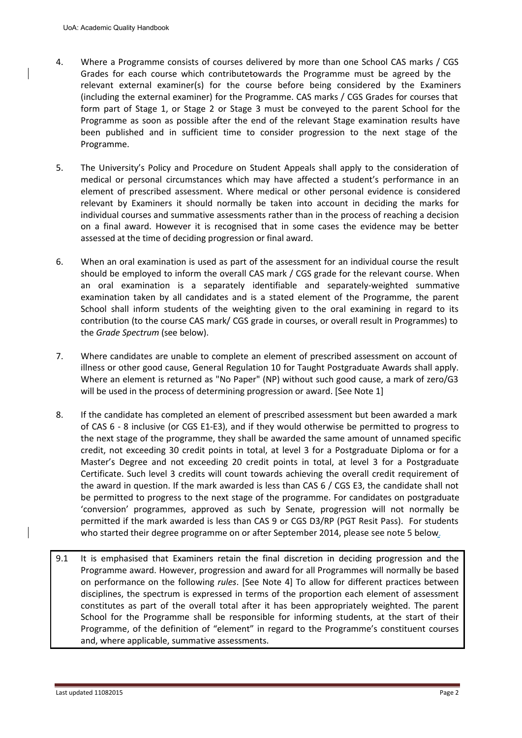- 4. Where a Programme consists of courses delivered by more than one School CAS marks / CGS Grades for each course which contributetowards the Programme must be agreed by the relevant external examiner(s) for the course before being considered by the Examiners (including the external examiner) for the Programme. CAS marks / CGS Grades for courses that form part of Stage 1, or Stage 2 or Stage 3 must be conveyed to the parent School for the Programme as soon as possible after the end of the relevant Stage examination results have been published and in sufficient time to consider progression to the next stage of the Programme.
- 5. The University's Policy and Procedure on Student Appeals shall apply to the consideration of medical or personal circumstances which may have affected a student's performance in an element of prescribed assessment. Where medical or other personal evidence is considered relevant by Examiners it should normally be taken into account in deciding the marks for individual courses and summative assessments rather than in the process of reaching a decision on a final award. However it is recognised that in some cases the evidence may be better assessed at the time of deciding progression or final award.
- 6. When an oral examination is used as part of the assessment for an individual course the result should be employed to inform the overall CAS mark / CGS grade for the relevant course. When an oral examination is a separately identifiable and separately-weighted summative examination taken by all candidates and is a stated element of the Programme, the parent School shall inform students of the weighting given to the oral examining in regard to its contribution (to the course CAS mark/ CGS grade in courses, or overall result in Programmes) to the *Grade Spectrum* (see below).
- 7. Where candidates are unable to complete an element of prescribed assessment on account of illness or other good cause, General Regulation 10 for Taught Postgraduate Awards shall apply. Where an element is returned as "No Paper" (NP) without such good cause, a mark of zero/G3 will be used in the process of determining progression or award. [See Note 1]
- 8. If the candidate has completed an element of prescribed assessment but been awarded a mark of CAS 6 - 8 inclusive (or CGS E1-E3), and if they would otherwise be permitted to progress to the next stage of the programme, they shall be awarded the same amount of unnamed specific credit, not exceeding 30 credit points in total, at level 3 for a Postgraduate Diploma or for a Master's Degree and not exceeding 20 credit points in total, at level 3 for a Postgraduate Certificate. Such level 3 credits will count towards achieving the overall credit requirement of the award in question. If the mark awarded is less than CAS 6 / CGS E3, the candidate shall not be permitted to progress to the next stage of the programme. For candidates on postgraduate 'conversion' programmes, approved as such by Senate, progression will not normally be permitted if the mark awarded is less than CAS 9 or CGS D3/RP (PGT Resit Pass). For students who started their degree programme on or after September 2014, please see note 5 below.
- 9.1 It is emphasised that Examiners retain the final discretion in deciding progression and the Programme award. However, progression and award for all Programmes will normally be based on performance on the following *rules*. [See Note 4] To allow for different practices between disciplines, the spectrum is expressed in terms of the proportion each element of assessment constitutes as part of the overall total after it has been appropriately weighted. The parent School for the Programme shall be responsible for informing students, at the start of their Programme, of the definition of "element" in regard to the Programme's constituent courses and, where applicable, summative assessments.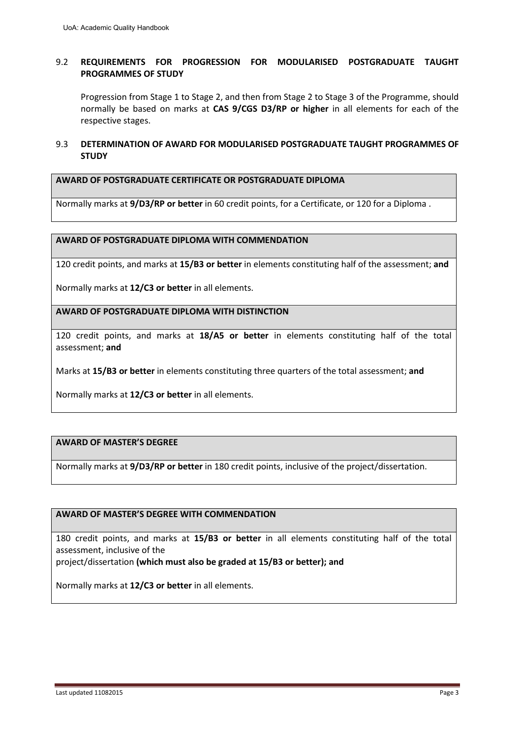## 9.2 **REQUIREMENTS FOR PROGRESSION FOR MODULARISED POSTGRADUATE TAUGHT PROGRAMMES OF STUDY**

Progression from Stage 1 to Stage 2, and then from Stage 2 to Stage 3 of the Programme, should normally be based on marks at **CAS 9/CGS D3/RP or higher** in all elements for each of the respective stages.

### 9.3 **DETERMINATION OF AWARD FOR MODULARISED POSTGRADUATE TAUGHT PROGRAMMES OF STUDY**

#### **AWARD OF POSTGRADUATE CERTIFICATE OR POSTGRADUATE DIPLOMA**

Normally marks at **9/D3/RP or better** in 60 credit points, for a Certificate, or 120 for a Diploma .

### **AWARD OF POSTGRADUATE DIPLOMA WITH COMMENDATION**

120 credit points, and marks at **15/B3 or better** in elements constituting half of the assessment; **and**

Normally marks at **12/C3 or better** in all elements.

**AWARD OF POSTGRADUATE DIPLOMA WITH DISTINCTION**

120 credit points, and marks at **18/A5 or better** in elements constituting half of the total assessment; **and**

Marks at **15/B3 or better** in elements constituting three quarters of the total assessment; **and**

Normally marks at **12/C3 or better** in all elements.

#### **AWARD OF MASTER'S DEGREE**

Normally marks at **9/D3/RP or better** in 180 credit points, inclusive of the project/dissertation.

### **AWARD OF MASTER'S DEGREE WITH COMMENDATION**

180 credit points, and marks at **15/B3 or better** in all elements constituting half of the total assessment, inclusive of the

project/dissertation **(which must also be graded at 15/B3 or better); and**

Normally marks at **12/C3 or better** in all elements.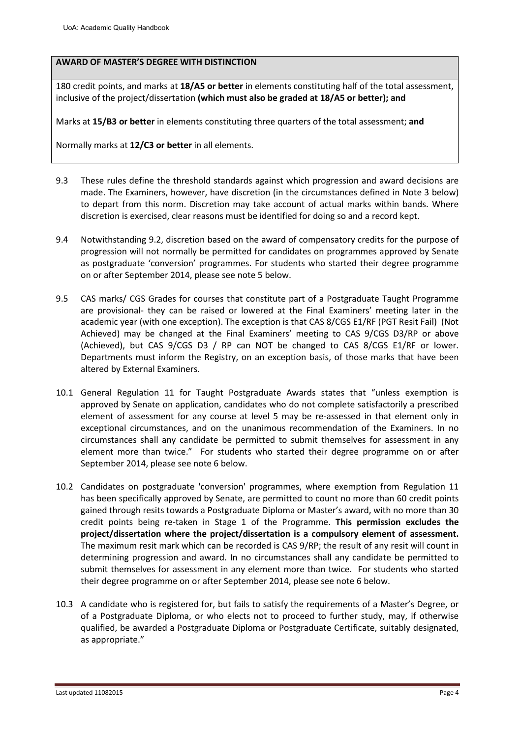### **AWARD OF MASTER'S DEGREE WITH DISTINCTION**

180 credit points, and marks at **18/A5 or better** in elements constituting half of the total assessment, inclusive of the project/dissertation **(which must also be graded at 18/A5 or better); and**

Marks at **15/B3 or better** in elements constituting three quarters of the total assessment; **and**

Normally marks at **12/C3 or better** in all elements.

- 9.3 These rules define the threshold standards against which progression and award decisions are made. The Examiners, however, have discretion (in the circumstances defined in Note 3 below) to depart from this norm. Discretion may take account of actual marks within bands. Where discretion is exercised, clear reasons must be identified for doing so and a record kept.
- 9.4 Notwithstanding 9.2, discretion based on the award of compensatory credits for the purpose of progression will not normally be permitted for candidates on programmes approved by Senate as postgraduate 'conversion' programmes. For students who started their degree programme on or after September 2014, please see note 5 below.
- 9.5 CAS marks/ CGS Grades for courses that constitute part of a Postgraduate Taught Programme are provisional- they can be raised or lowered at the Final Examiners' meeting later in the academic year (with one exception). The exception is that CAS 8/CGS E1/RF (PGT Resit Fail) (Not Achieved) may be changed at the Final Examiners' meeting to CAS 9/CGS D3/RP or above (Achieved), but CAS 9/CGS D3 / RP can NOT be changed to CAS 8/CGS E1/RF or lower. Departments must inform the Registry, on an exception basis, of those marks that have been altered by External Examiners.
- 10.1 General Regulation 11 for Taught Postgraduate Awards states that "unless exemption is approved by Senate on application, candidates who do not complete satisfactorily a prescribed element of assessment for any course at level 5 may be re-assessed in that element only in exceptional circumstances, and on the unanimous recommendation of the Examiners. In no circumstances shall any candidate be permitted to submit themselves for assessment in any element more than twice." For students who started their degree programme on or after September 2014, please see note 6 below.
- 10.2 Candidates on postgraduate 'conversion' programmes, where exemption from Regulation 11 has been specifically approved by Senate, are permitted to count no more than 60 credit points gained through resits towards a Postgraduate Diploma or Master's award, with no more than 30 credit points being re-taken in Stage 1 of the Programme. **This permission excludes the project/dissertation where the project/dissertation is a compulsory element of assessment.** The maximum resit mark which can be recorded is CAS 9/RP; the result of any resit will count in determining progression and award. In no circumstances shall any candidate be permitted to submit themselves for assessment in any element more than twice. For students who started their degree programme on or after September 2014, please see note 6 below.
- 10.3 A candidate who is registered for, but fails to satisfy the requirements of a Master's Degree, or of a Postgraduate Diploma, or who elects not to proceed to further study, may, if otherwise qualified, be awarded a Postgraduate Diploma or Postgraduate Certificate, suitably designated, as appropriate."